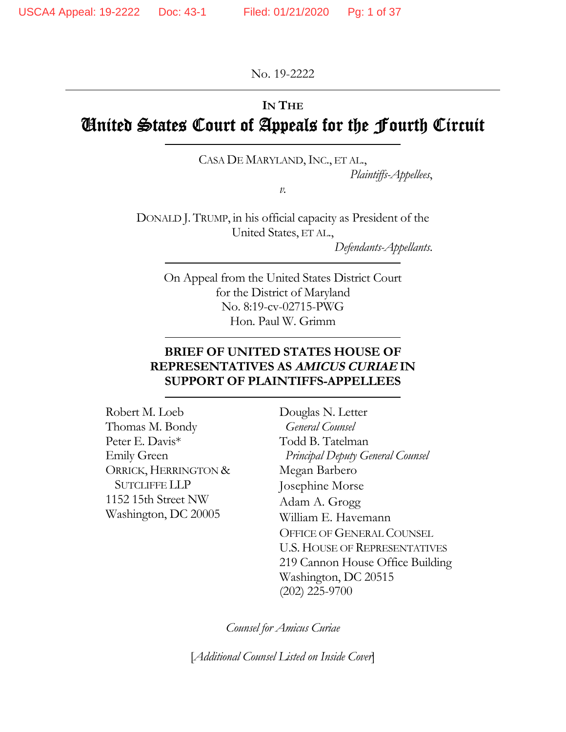No. 19-2222

# **IN THE**

# United States Court of Appeals for the Fourth Circuit

# CASA DE MARYLAND, INC., ET AL.,

*Plaintiffs-Appellees*,

*v.* 

DONALD J. TRUMP, in his official capacity as President of the United States, ET AL.,

*Defendants-Appellants*.

On Appeal from the United States District Court for the District of Maryland No. 8:19-cv-02715-PWG Hon. Paul W. Grimm

## **BRIEF OF UNITED STATES HOUSE OF REPRESENTATIVES AS AMICUS CURIAE IN SUPPORT OF PLAINTIFFS-APPELLEES**

Robert M. Loeb Thomas M. Bondy Peter E. Davis\* Emily Green ORRICK, HERRINGTON & SUTCLIFFE LLP 1152 15th Street NW Washington, DC 20005

Douglas N. Letter  *General Counsel*  Todd B. Tatelman  *Principal Deputy General Counsel*  Megan Barbero Josephine Morse Adam A. Grogg William E. Havemann OFFICE OF GENERAL COUNSEL U.S. HOUSE OF REPRESENTATIVES 219 Cannon House Office Building Washington, DC 20515 (202) 225-9700

*Counsel for Amicus Curiae* 

[*Additional Counsel Listed on Inside Cover*]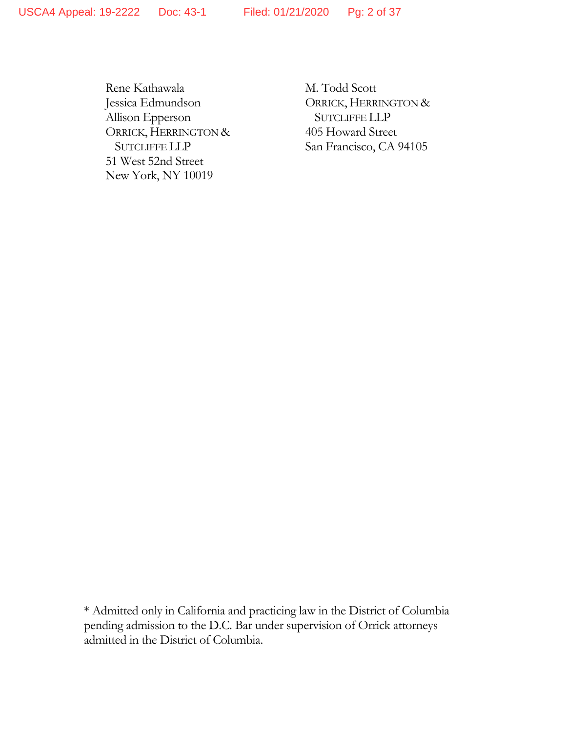Rene Kathawala Jessica Edmundson Allison Epperson ORRICK, HERRINGTON & SUTCLIFFE LLP 51 West 52nd Street New York, NY 10019

M. Todd Scott ORRICK, HERRINGTON & SUTCLIFFE LLP 405 Howard Street San Francisco, CA 94105

\* Admitted only in California and practicing law in the District of Columbia pending admission to the D.C. Bar under supervision of Orrick attorneys admitted in the District of Columbia.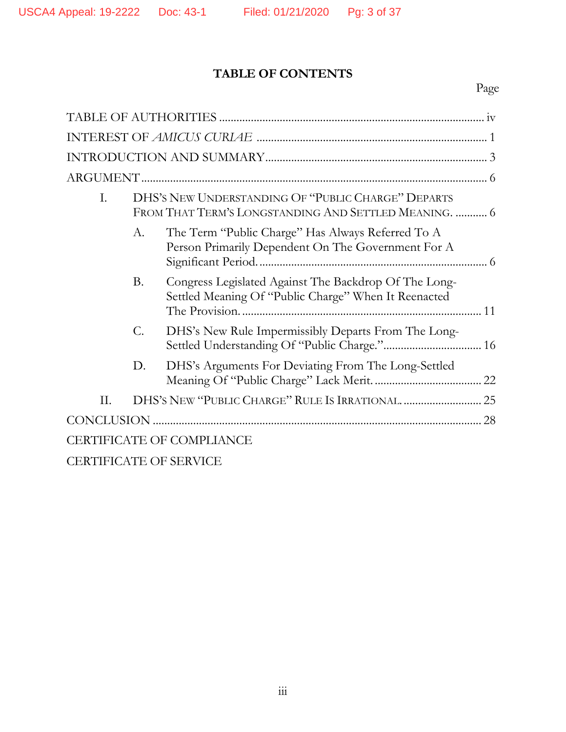# **TABLE OF CONTENTS**

# Page

| I.                               | DHS'S NEW UNDERSTANDING OF "PUBLIC CHARGE" DEPARTS<br>FROM THAT TERM'S LONGSTANDING AND SETTLED MEANING.  6 |                                                                                                               |  |  |
|----------------------------------|-------------------------------------------------------------------------------------------------------------|---------------------------------------------------------------------------------------------------------------|--|--|
|                                  | А.                                                                                                          | The Term "Public Charge" Has Always Referred To A<br>Person Primarily Dependent On The Government For A       |  |  |
|                                  | <b>B.</b>                                                                                                   | Congress Legislated Against The Backdrop Of The Long-<br>Settled Meaning Of "Public Charge" When It Reenacted |  |  |
|                                  | C.                                                                                                          | DHS's New Rule Impermissibly Departs From The Long-                                                           |  |  |
|                                  | D.                                                                                                          | DHS's Arguments For Deviating From The Long-Settled                                                           |  |  |
| II.                              |                                                                                                             |                                                                                                               |  |  |
| 28                               |                                                                                                             |                                                                                                               |  |  |
| <b>CERTIFICATE OF COMPLIANCE</b> |                                                                                                             |                                                                                                               |  |  |
|                                  |                                                                                                             | <b>CERTIFICATE OF SERVICE</b>                                                                                 |  |  |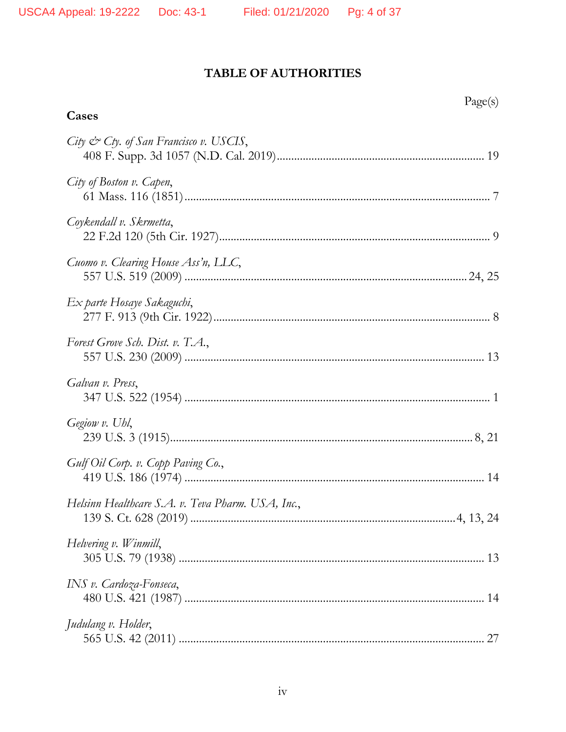Cases

# TABLE OF AUTHORITIES

Page(s)

| City & Cty. of San Francisco v. USCIS,            |
|---------------------------------------------------|
| City of Boston v. Capen,                          |
| Coykendall v. Skrmetta,                           |
| Cuomo v. Clearing House Ass'n, LLC,               |
| Ex parte Hosaye Sakaguchi,                        |
| Forest Grove Sch. Dist. v. T.A.,                  |
| Galvan v. Press,                                  |
| Gegiow v. Uhl,                                    |
| Gulf Oil Corp. v. Copp Paving Co.,                |
| Helsinn Healthcare S.A. v. Teva Pharm. USA, Inc., |
| Helvering v. Winmill,                             |
| INS v. Cardoza-Fonseca,                           |
| Judulang v. Holder,                               |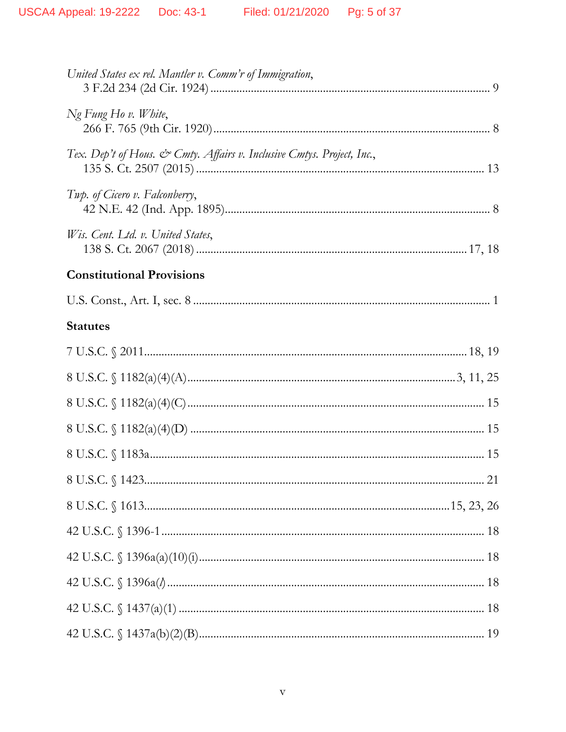| United States ex rel. Mantler v. Comm'r of Immigration,                |
|------------------------------------------------------------------------|
| Ng Fung Ho v. White,                                                   |
| Tex. Dep't of Hous. & Cmty. Affairs v. Inclusive Cmtys. Project, Inc., |
| Twp. of Cicero v. Falconberry,                                         |
| Wis. Cent. Ltd. v. United States,                                      |
| <b>Constitutional Provisions</b>                                       |
|                                                                        |
| <b>Statutes</b>                                                        |
|                                                                        |
|                                                                        |
|                                                                        |
|                                                                        |
|                                                                        |
|                                                                        |
|                                                                        |
|                                                                        |
|                                                                        |
|                                                                        |
|                                                                        |
|                                                                        |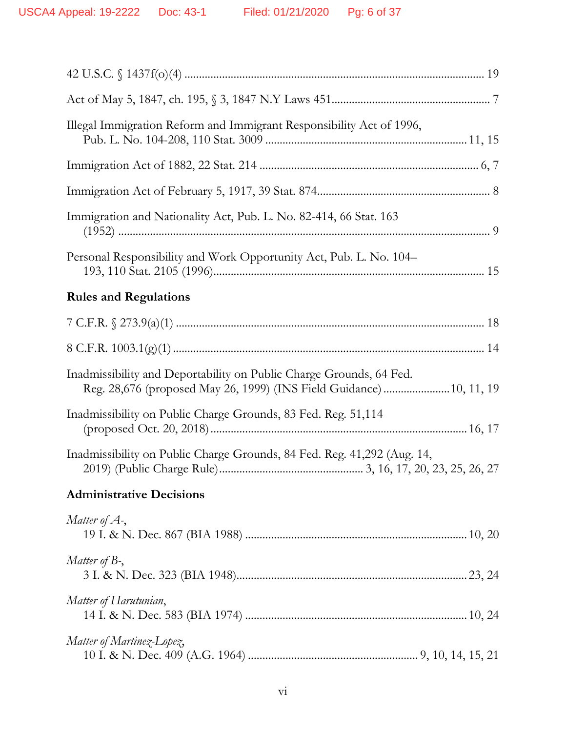| Illegal Immigration Reform and Immigrant Responsibility Act of 1996,                                                                        |
|---------------------------------------------------------------------------------------------------------------------------------------------|
|                                                                                                                                             |
|                                                                                                                                             |
| Immigration and Nationality Act, Pub. L. No. 82-414, 66 Stat. 163                                                                           |
| Personal Responsibility and Work Opportunity Act, Pub. L. No. 104–                                                                          |
| <b>Rules and Regulations</b>                                                                                                                |
|                                                                                                                                             |
|                                                                                                                                             |
| Inadmissibility and Deportability on Public Charge Grounds, 64 Fed.<br>Reg. 28,676 (proposed May 26, 1999) (INS Field Guidance)  10, 11, 19 |
| Inadmissibility on Public Charge Grounds, 83 Fed. Reg. 51,114                                                                               |
| Inadmissibility on Public Charge Grounds, 84 Fed. Reg. 41,292 (Aug. 14,                                                                     |
| <b>Administrative Decisions</b>                                                                                                             |
| Matter of $A$ -,                                                                                                                            |
| Matter of $B_7$ ,                                                                                                                           |
| Matter of Harutunian,                                                                                                                       |
| Matter of Martinez-Lopez,                                                                                                                   |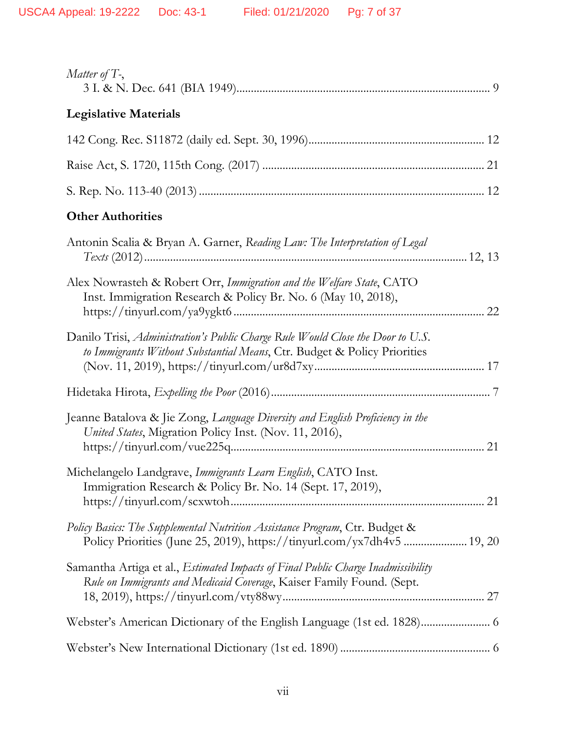| Matter of $T$ -,                                                                                                                                                 |
|------------------------------------------------------------------------------------------------------------------------------------------------------------------|
| <b>Legislative Materials</b>                                                                                                                                     |
|                                                                                                                                                                  |
|                                                                                                                                                                  |
|                                                                                                                                                                  |
| <b>Other Authorities</b>                                                                                                                                         |
| Antonin Scalia & Bryan A. Garner, Reading Law: The Interpretation of Legal                                                                                       |
| Alex Nowrasteh & Robert Orr, Immigration and the Welfare State, CATO<br>Inst. Immigration Research & Policy Br. No. 6 (May 10, 2018),                            |
| Danilo Trisi, Administration's Public Charge Rule Would Close the Door to U.S.<br>to Immigrants Without Substantial Means, Ctr. Budget & Policy Priorities       |
|                                                                                                                                                                  |
| Jeanne Batalova & Jie Zong, Language Diversity and English Proficiency in the<br>United States, Migration Policy Inst. (Nov. 11, 2016),                          |
| Michelangelo Landgrave, Immigrants Learn English, CATO Inst.<br>Immigration Research & Policy Br. No. 14 (Sept. 17, 2019),                                       |
| Policy Basics: The Supplemental Nutrition Assistance Program, Ctr. Budget &                                                                                      |
| Samantha Artiga et al., <i>Estimated Impacts of Final Public Charge Inadmissibility</i><br>Rule on Immigrants and Medicaid Coverage, Kaiser Family Found. (Sept. |
|                                                                                                                                                                  |
|                                                                                                                                                                  |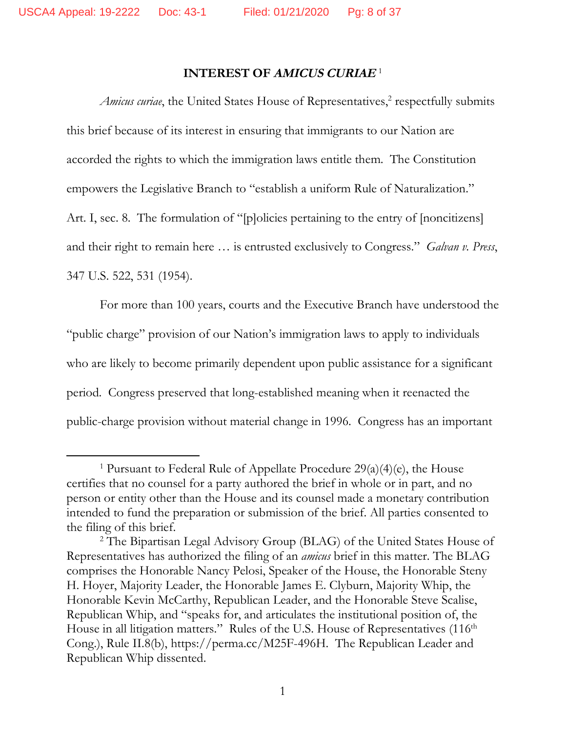# **INTEREST OF AMICUS CURIAE**  1

Amicus curiae, the United States House of Representatives,<sup>2</sup> respectfully submits this brief because of its interest in ensuring that immigrants to our Nation are accorded the rights to which the immigration laws entitle them. The Constitution empowers the Legislative Branch to "establish a uniform Rule of Naturalization." Art. I, sec. 8. The formulation of "[p]olicies pertaining to the entry of [noncitizens] and their right to remain here … is entrusted exclusively to Congress." *Galvan v. Press*, 347 U.S. 522, 531 (1954).

For more than 100 years, courts and the Executive Branch have understood the "public charge" provision of our Nation's immigration laws to apply to individuals who are likely to become primarily dependent upon public assistance for a significant period. Congress preserved that long-established meaning when it reenacted the public-charge provision without material change in 1996. Congress has an important

<sup>&</sup>lt;sup>1</sup> Pursuant to Federal Rule of Appellate Procedure  $29(a)(4)(e)$ , the House certifies that no counsel for a party authored the brief in whole or in part, and no person or entity other than the House and its counsel made a monetary contribution intended to fund the preparation or submission of the brief. All parties consented to the filing of this brief.

<sup>&</sup>lt;sup>2</sup> The Bipartisan Legal Advisory Group (BLAG) of the United States House of Representatives has authorized the filing of an *amicus* brief in this matter. The BLAG comprises the Honorable Nancy Pelosi, Speaker of the House, the Honorable Steny H. Hoyer, Majority Leader, the Honorable James E. Clyburn, Majority Whip, the Honorable Kevin McCarthy, Republican Leader, and the Honorable Steve Scalise, Republican Whip, and "speaks for, and articulates the institutional position of, the House in all litigation matters." Rules of the U.S. House of Representatives (116<sup>th</sup>) Cong.), Rule II.8(b), https://perma.cc/M25F-496H. The Republican Leader and Republican Whip dissented.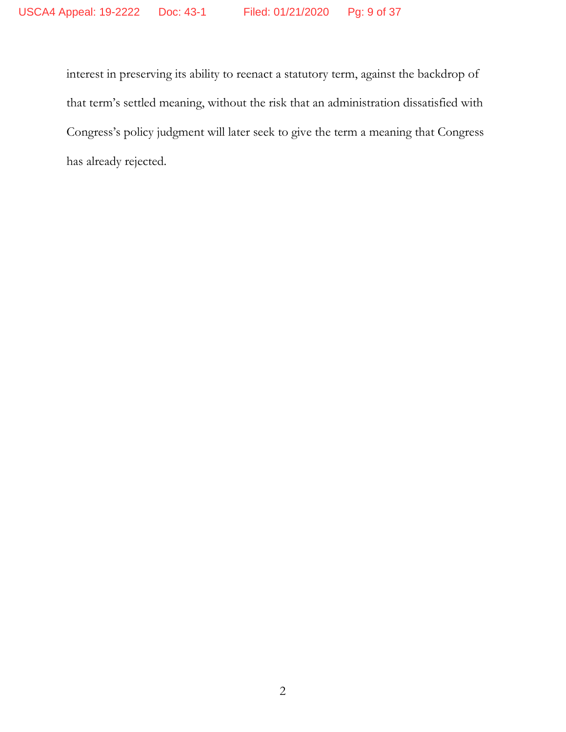interest in preserving its ability to reenact a statutory term, against the backdrop of that term's settled meaning, without the risk that an administration dissatisfied with Congress's policy judgment will later seek to give the term a meaning that Congress has already rejected.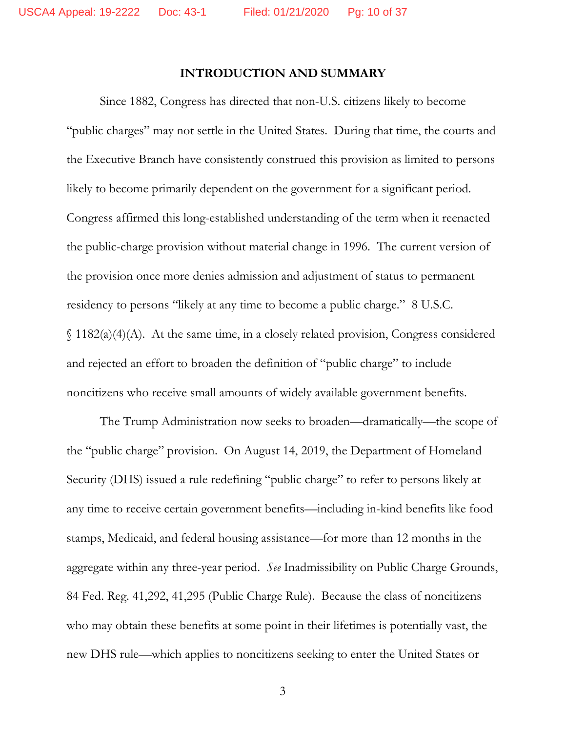#### **INTRODUCTION AND SUMMARY**

Since 1882, Congress has directed that non-U.S. citizens likely to become "public charges" may not settle in the United States. During that time, the courts and the Executive Branch have consistently construed this provision as limited to persons likely to become primarily dependent on the government for a significant period. Congress affirmed this long-established understanding of the term when it reenacted the public-charge provision without material change in 1996. The current version of the provision once more denies admission and adjustment of status to permanent residency to persons "likely at any time to become a public charge." 8 U.S.C. § 1182(a)(4)(A). At the same time, in a closely related provision, Congress considered and rejected an effort to broaden the definition of "public charge" to include noncitizens who receive small amounts of widely available government benefits.

The Trump Administration now seeks to broaden—dramatically—the scope of the "public charge" provision. On August 14, 2019, the Department of Homeland Security (DHS) issued a rule redefining "public charge" to refer to persons likely at any time to receive certain government benefits—including in-kind benefits like food stamps, Medicaid, and federal housing assistance—for more than 12 months in the aggregate within any three-year period. *See* Inadmissibility on Public Charge Grounds, 84 Fed. Reg. 41,292, 41,295 (Public Charge Rule). Because the class of noncitizens who may obtain these benefits at some point in their lifetimes is potentially vast, the new DHS rule—which applies to noncitizens seeking to enter the United States or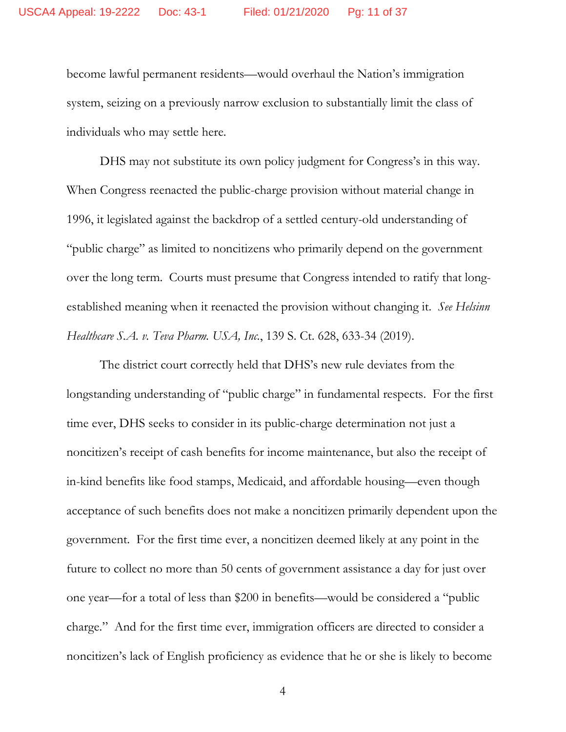become lawful permanent residents—would overhaul the Nation's immigration system, seizing on a previously narrow exclusion to substantially limit the class of individuals who may settle here.

DHS may not substitute its own policy judgment for Congress's in this way. When Congress reenacted the public-charge provision without material change in 1996, it legislated against the backdrop of a settled century-old understanding of "public charge" as limited to noncitizens who primarily depend on the government over the long term. Courts must presume that Congress intended to ratify that longestablished meaning when it reenacted the provision without changing it. *See Helsinn Healthcare S.A. v. Teva Pharm. USA, Inc.*, 139 S. Ct. 628, 633-34 (2019).

The district court correctly held that DHS's new rule deviates from the longstanding understanding of "public charge" in fundamental respects. For the first time ever, DHS seeks to consider in its public-charge determination not just a noncitizen's receipt of cash benefits for income maintenance, but also the receipt of in-kind benefits like food stamps, Medicaid, and affordable housing—even though acceptance of such benefits does not make a noncitizen primarily dependent upon the government. For the first time ever, a noncitizen deemed likely at any point in the future to collect no more than 50 cents of government assistance a day for just over one year—for a total of less than \$200 in benefits—would be considered a "public charge." And for the first time ever, immigration officers are directed to consider a noncitizen's lack of English proficiency as evidence that he or she is likely to become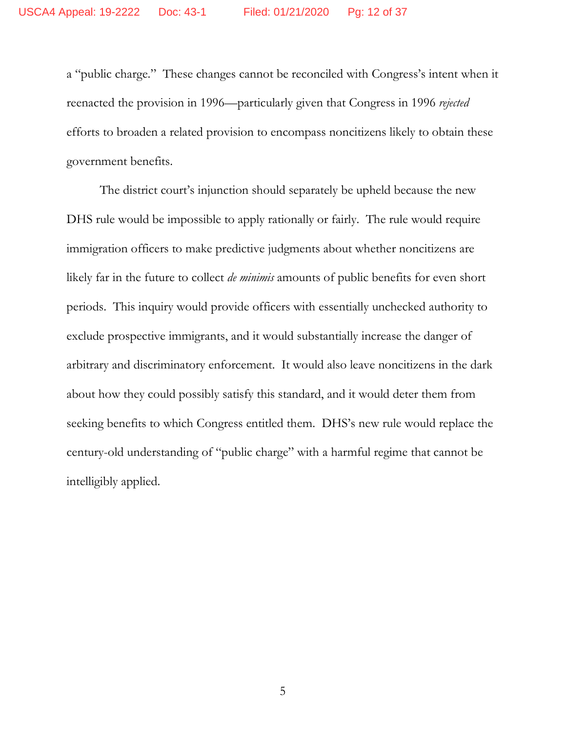a "public charge." These changes cannot be reconciled with Congress's intent when it reenacted the provision in 1996—particularly given that Congress in 1996 *rejected* efforts to broaden a related provision to encompass noncitizens likely to obtain these government benefits.

The district court's injunction should separately be upheld because the new DHS rule would be impossible to apply rationally or fairly. The rule would require immigration officers to make predictive judgments about whether noncitizens are likely far in the future to collect *de minimis* amounts of public benefits for even short periods. This inquiry would provide officers with essentially unchecked authority to exclude prospective immigrants, and it would substantially increase the danger of arbitrary and discriminatory enforcement. It would also leave noncitizens in the dark about how they could possibly satisfy this standard, and it would deter them from seeking benefits to which Congress entitled them. DHS's new rule would replace the century-old understanding of "public charge" with a harmful regime that cannot be intelligibly applied.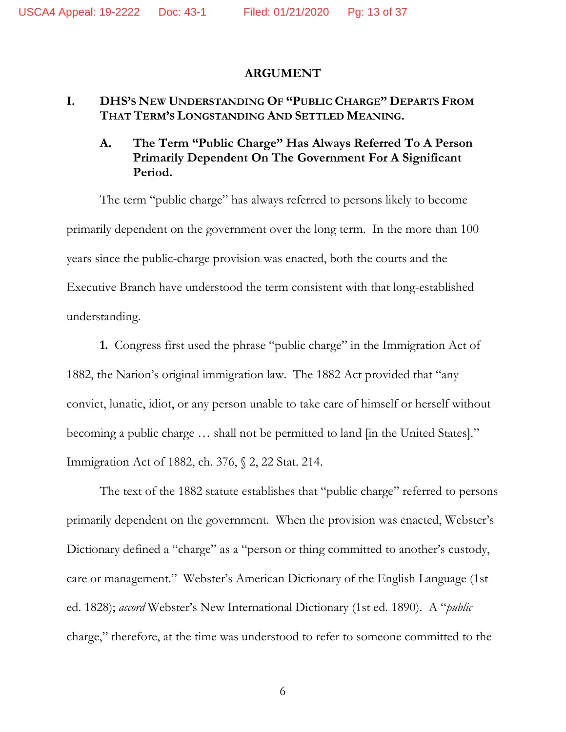#### **ARGUMENT**

### **I. DHS'S NEW UNDERSTANDING OF "PUBLIC CHARGE" DEPARTS FROM THAT TERM'S LONGSTANDING AND SETTLED MEANING.**

# **A. The Term "Public Charge" Has Always Referred To A Person Primarily Dependent On The Government For A Significant Period.**

The term "public charge" has always referred to persons likely to become primarily dependent on the government over the long term. In the more than 100 years since the public-charge provision was enacted, both the courts and the Executive Branch have understood the term consistent with that long-established understanding.

**1.** Congress first used the phrase "public charge" in the Immigration Act of 1882, the Nation's original immigration law. The 1882 Act provided that "any convict, lunatic, idiot, or any person unable to take care of himself or herself without becoming a public charge … shall not be permitted to land [in the United States]." Immigration Act of 1882, ch. 376, § 2, 22 Stat. 214.

The text of the 1882 statute establishes that "public charge" referred to persons primarily dependent on the government. When the provision was enacted, Webster's Dictionary defined a "charge" as a "person or thing committed to another's custody, care or management." Webster's American Dictionary of the English Language (1st ed. 1828); *accord* Webster's New International Dictionary (1st ed. 1890). A "*public* charge," therefore, at the time was understood to refer to someone committed to the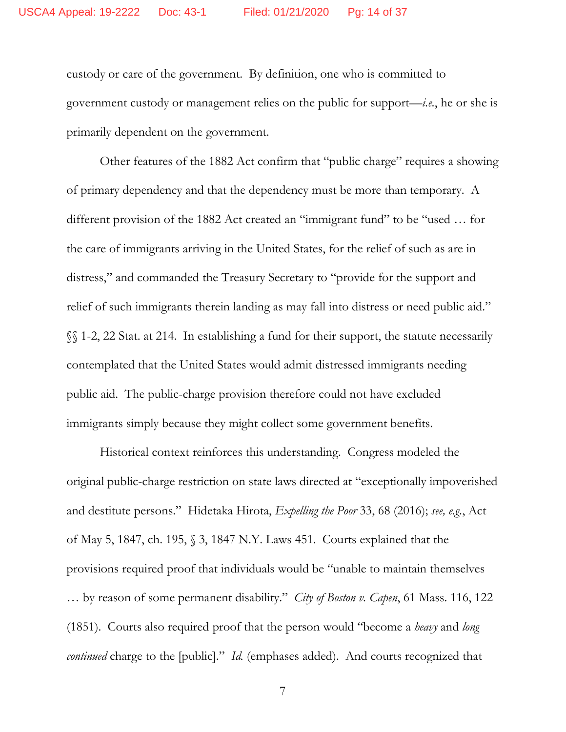custody or care of the government. By definition, one who is committed to government custody or management relies on the public for support—*i.e.*, he or she is primarily dependent on the government.

Other features of the 1882 Act confirm that "public charge" requires a showing of primary dependency and that the dependency must be more than temporary. A different provision of the 1882 Act created an "immigrant fund" to be "used … for the care of immigrants arriving in the United States, for the relief of such as are in distress," and commanded the Treasury Secretary to "provide for the support and relief of such immigrants therein landing as may fall into distress or need public aid." §§ 1-2, 22 Stat. at 214. In establishing a fund for their support, the statute necessarily contemplated that the United States would admit distressed immigrants needing public aid. The public-charge provision therefore could not have excluded immigrants simply because they might collect some government benefits.

Historical context reinforces this understanding. Congress modeled the original public-charge restriction on state laws directed at "exceptionally impoverished and destitute persons." Hidetaka Hirota, *Expelling the Poor* 33, 68 (2016); *see, e.g.*, Act of May 5, 1847, ch. 195, § 3, 1847 N.Y. Laws 451. Courts explained that the provisions required proof that individuals would be "unable to maintain themselves … by reason of some permanent disability." *City of Boston v. Capen*, 61 Mass. 116, 122 (1851). Courts also required proof that the person would "become a *heavy* and *long continued* charge to the [public]." *Id.* (emphases added). And courts recognized that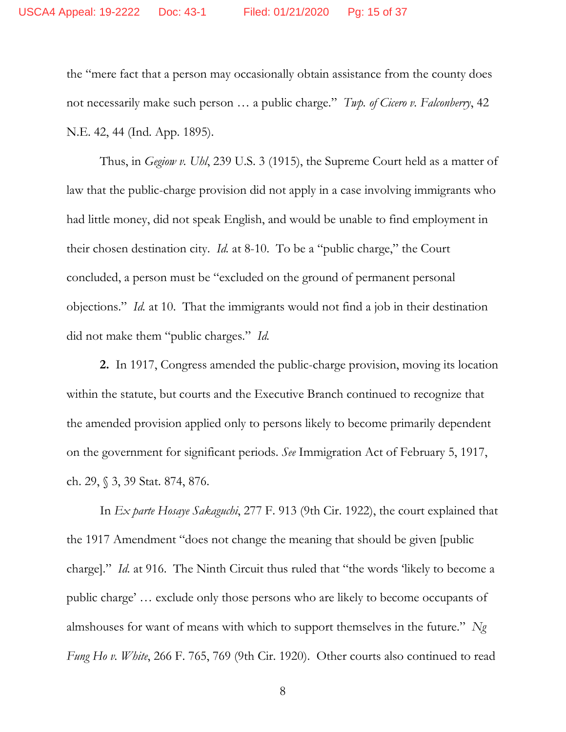the "mere fact that a person may occasionally obtain assistance from the county does not necessarily make such person … a public charge." *Twp. of Cicero v. Falconberry*, 42 N.E. 42, 44 (Ind. App. 1895).

Thus, in *Gegiow v. Uhl*, 239 U.S. 3 (1915), the Supreme Court held as a matter of law that the public-charge provision did not apply in a case involving immigrants who had little money, did not speak English, and would be unable to find employment in their chosen destination city. *Id.* at 8-10. To be a "public charge," the Court concluded, a person must be "excluded on the ground of permanent personal objections." *Id.* at 10. That the immigrants would not find a job in their destination did not make them "public charges." *Id.*

**2.** In 1917, Congress amended the public-charge provision, moving its location within the statute, but courts and the Executive Branch continued to recognize that the amended provision applied only to persons likely to become primarily dependent on the government for significant periods. *See* Immigration Act of February 5, 1917, ch. 29, § 3, 39 Stat. 874, 876.

In *Ex parte Hosaye Sakaguchi*, 277 F. 913 (9th Cir. 1922), the court explained that the 1917 Amendment "does not change the meaning that should be given [public charge]." *Id.* at 916. The Ninth Circuit thus ruled that "the words 'likely to become a public charge' … exclude only those persons who are likely to become occupants of almshouses for want of means with which to support themselves in the future." *Ng Fung Ho v. White*, 266 F. 765, 769 (9th Cir. 1920). Other courts also continued to read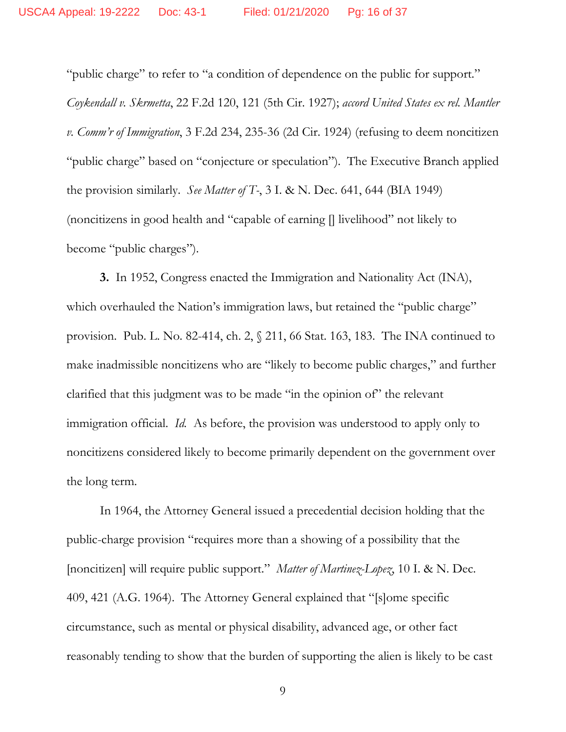"public charge" to refer to "a condition of dependence on the public for support." *Coykendall v. Skrmetta*, 22 F.2d 120, 121 (5th Cir. 1927); *accord United States ex rel. Mantler v. Comm'r of Immigration*, 3 F.2d 234, 235-36 (2d Cir. 1924) (refusing to deem noncitizen "public charge" based on "conjecture or speculation"). The Executive Branch applied the provision similarly. *See Matter of T-*, 3 I. & N. Dec. 641, 644 (BIA 1949) (noncitizens in good health and "capable of earning [] livelihood" not likely to become "public charges").

**3.** In 1952, Congress enacted the Immigration and Nationality Act (INA), which overhauled the Nation's immigration laws, but retained the "public charge" provision. Pub. L. No. 82-414, ch. 2, § 211, 66 Stat. 163, 183. The INA continued to make inadmissible noncitizens who are "likely to become public charges," and further clarified that this judgment was to be made "in the opinion of" the relevant immigration official. *Id.* As before, the provision was understood to apply only to noncitizens considered likely to become primarily dependent on the government over the long term.

In 1964, the Attorney General issued a precedential decision holding that the public-charge provision "requires more than a showing of a possibility that the [noncitizen] will require public support." *Matter of Martinez-Lopez*, 10 I. & N. Dec. 409, 421 (A.G. 1964). The Attorney General explained that "[s]ome specific circumstance, such as mental or physical disability, advanced age, or other fact reasonably tending to show that the burden of supporting the alien is likely to be cast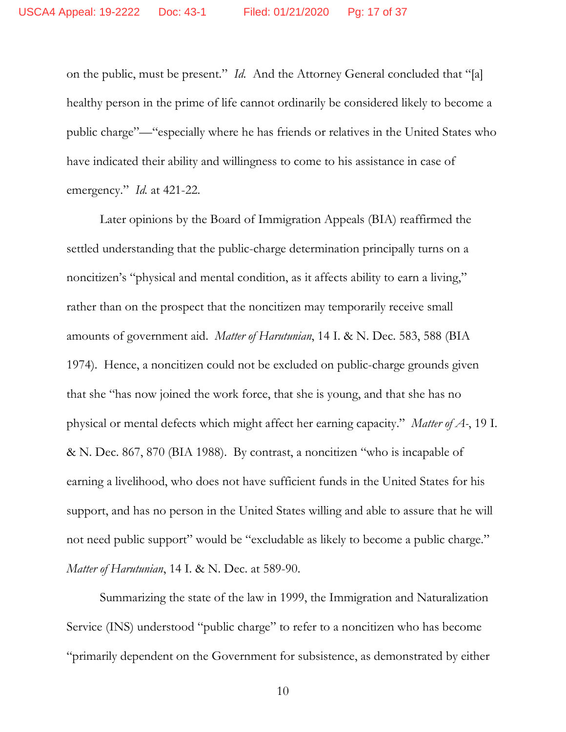on the public, must be present." *Id.* And the Attorney General concluded that "[a] healthy person in the prime of life cannot ordinarily be considered likely to become a public charge"—"especially where he has friends or relatives in the United States who have indicated their ability and willingness to come to his assistance in case of emergency." *Id.* at 421-22.

Later opinions by the Board of Immigration Appeals (BIA) reaffirmed the settled understanding that the public-charge determination principally turns on a noncitizen's "physical and mental condition, as it affects ability to earn a living," rather than on the prospect that the noncitizen may temporarily receive small amounts of government aid. *Matter of Harutunian*, 14 I. & N. Dec. 583, 588 (BIA 1974). Hence, a noncitizen could not be excluded on public-charge grounds given that she "has now joined the work force, that she is young, and that she has no physical or mental defects which might affect her earning capacity." *Matter of A-*, 19 I. & N. Dec. 867, 870 (BIA 1988). By contrast, a noncitizen "who is incapable of earning a livelihood, who does not have sufficient funds in the United States for his support, and has no person in the United States willing and able to assure that he will not need public support" would be "excludable as likely to become a public charge." *Matter of Harutunian*, 14 I. & N. Dec. at 589-90.

Summarizing the state of the law in 1999, the Immigration and Naturalization Service (INS) understood "public charge" to refer to a noncitizen who has become "primarily dependent on the Government for subsistence, as demonstrated by either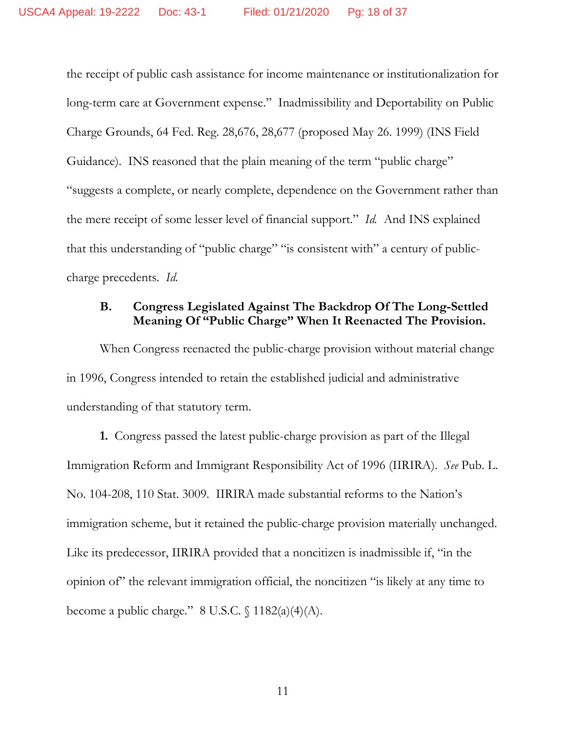the receipt of public cash assistance for income maintenance or institutionalization for long-term care at Government expense." Inadmissibility and Deportability on Public Charge Grounds, 64 Fed. Reg. 28,676, 28,677 (proposed May 26. 1999) (INS Field Guidance). INS reasoned that the plain meaning of the term "public charge" "suggests a complete, or nearly complete, dependence on the Government rather than the mere receipt of some lesser level of financial support." *Id.* And INS explained that this understanding of "public charge" "is consistent with" a century of publiccharge precedents. *Id.*

# **B. Congress Legislated Against The Backdrop Of The Long-Settled Meaning Of "Public Charge" When It Reenacted The Provision.**

When Congress reenacted the public-charge provision without material change in 1996, Congress intended to retain the established judicial and administrative understanding of that statutory term.

**1.** Congress passed the latest public-charge provision as part of the Illegal Immigration Reform and Immigrant Responsibility Act of 1996 (IIRIRA). *See* Pub. L. No. 104-208, 110 Stat. 3009. IIRIRA made substantial reforms to the Nation's immigration scheme, but it retained the public-charge provision materially unchanged. Like its predecessor, IIRIRA provided that a noncitizen is inadmissible if, "in the opinion of" the relevant immigration official, the noncitizen "is likely at any time to become a public charge."  $8$  U.S.C.  $\frac{6}{3}$  1182(a)(4)(A).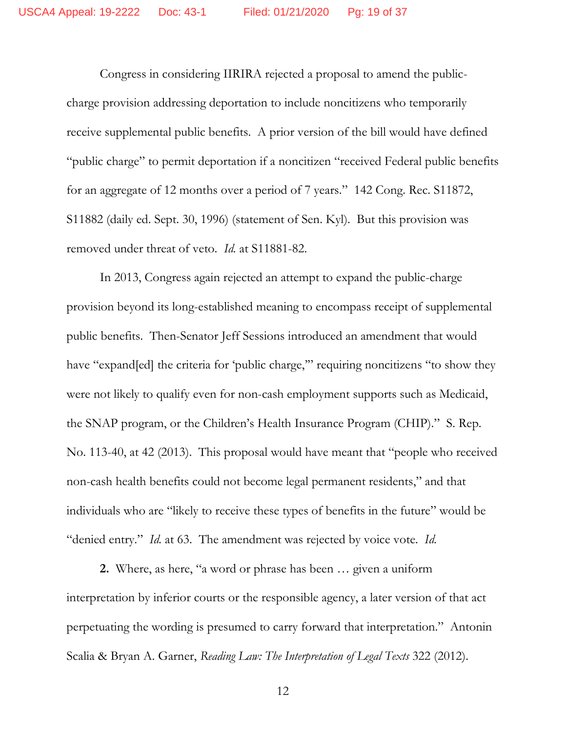Congress in considering IIRIRA rejected a proposal to amend the publiccharge provision addressing deportation to include noncitizens who temporarily receive supplemental public benefits. A prior version of the bill would have defined "public charge" to permit deportation if a noncitizen "received Federal public benefits for an aggregate of 12 months over a period of 7 years." 142 Cong. Rec. S11872, S11882 (daily ed. Sept. 30, 1996) (statement of Sen. Kyl). But this provision was removed under threat of veto. *Id.* at S11881-82.

In 2013, Congress again rejected an attempt to expand the public-charge provision beyond its long-established meaning to encompass receipt of supplemental public benefits. Then-Senator Jeff Sessions introduced an amendment that would have "expand[ed] the criteria for 'public charge," requiring noncitizens "to show they were not likely to qualify even for non-cash employment supports such as Medicaid, the SNAP program, or the Children's Health Insurance Program (CHIP)." S. Rep. No. 113-40, at 42 (2013). This proposal would have meant that "people who received non-cash health benefits could not become legal permanent residents," and that individuals who are "likely to receive these types of benefits in the future" would be "denied entry." *Id.* at 63. The amendment was rejected by voice vote. *Id.*

**2.** Where, as here, "a word or phrase has been … given a uniform interpretation by inferior courts or the responsible agency, a later version of that act perpetuating the wording is presumed to carry forward that interpretation." Antonin Scalia & Bryan A. Garner, *Reading Law: The Interpretation of Legal Texts* 322 (2012).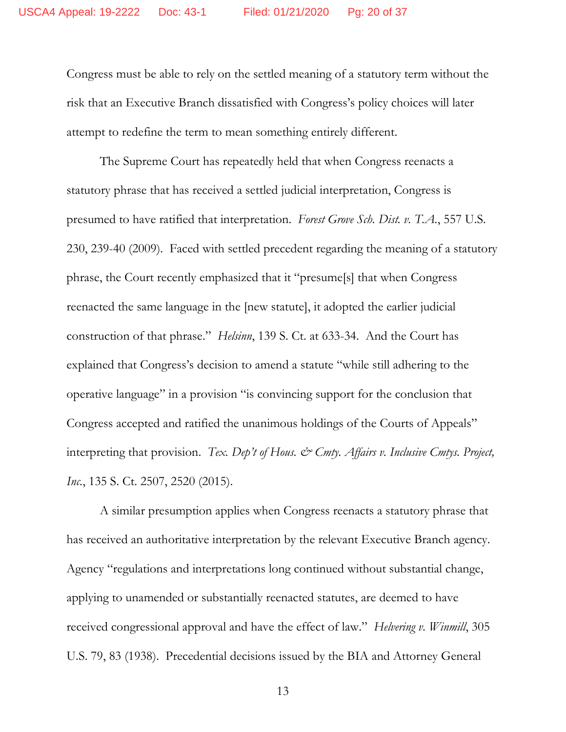Congress must be able to rely on the settled meaning of a statutory term without the risk that an Executive Branch dissatisfied with Congress's policy choices will later attempt to redefine the term to mean something entirely different.

The Supreme Court has repeatedly held that when Congress reenacts a statutory phrase that has received a settled judicial interpretation, Congress is presumed to have ratified that interpretation. *Forest Grove Sch. Dist. v. T.A.*, 557 U.S. 230, 239-40 (2009). Faced with settled precedent regarding the meaning of a statutory phrase, the Court recently emphasized that it "presume[s] that when Congress reenacted the same language in the [new statute], it adopted the earlier judicial construction of that phrase." *Helsinn*, 139 S. Ct. at 633-34. And the Court has explained that Congress's decision to amend a statute "while still adhering to the operative language" in a provision "is convincing support for the conclusion that Congress accepted and ratified the unanimous holdings of the Courts of Appeals" interpreting that provision. *Tex. Dep't of Hous. & Cmty. Affairs v. Inclusive Cmtys. Project, Inc.*, 135 S. Ct. 2507, 2520 (2015).

A similar presumption applies when Congress reenacts a statutory phrase that has received an authoritative interpretation by the relevant Executive Branch agency. Agency "regulations and interpretations long continued without substantial change, applying to unamended or substantially reenacted statutes, are deemed to have received congressional approval and have the effect of law." *Helvering v. Winmill*, 305 U.S. 79, 83 (1938). Precedential decisions issued by the BIA and Attorney General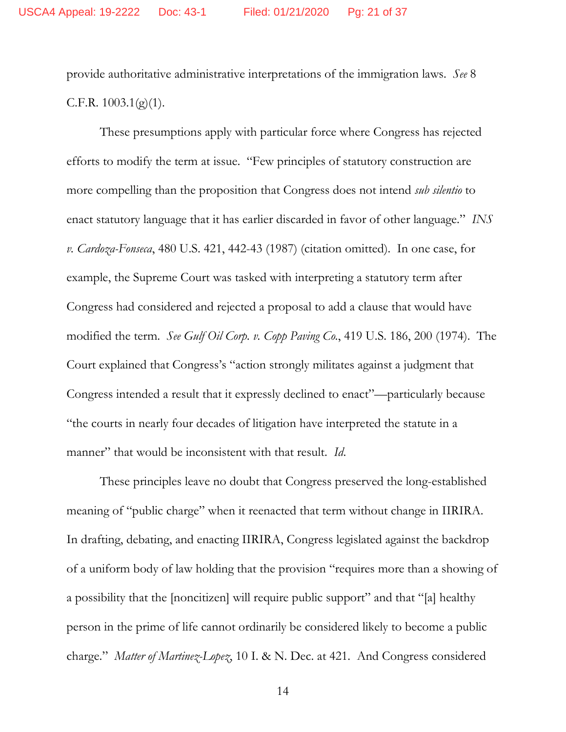provide authoritative administrative interpretations of the immigration laws. *See* 8 C.F.R.  $1003.1(g)(1)$ .

These presumptions apply with particular force where Congress has rejected efforts to modify the term at issue. "Few principles of statutory construction are more compelling than the proposition that Congress does not intend *sub silentio* to enact statutory language that it has earlier discarded in favor of other language." *INS v. Cardoza-Fonseca*, 480 U.S. 421, 442-43 (1987) (citation omitted). In one case, for example, the Supreme Court was tasked with interpreting a statutory term after Congress had considered and rejected a proposal to add a clause that would have modified the term. *See Gulf Oil Corp. v. Copp Paving Co.*, 419 U.S. 186, 200 (1974). The Court explained that Congress's "action strongly militates against a judgment that Congress intended a result that it expressly declined to enact"—particularly because "the courts in nearly four decades of litigation have interpreted the statute in a manner" that would be inconsistent with that result. *Id*.

These principles leave no doubt that Congress preserved the long-established meaning of "public charge" when it reenacted that term without change in IIRIRA. In drafting, debating, and enacting IIRIRA, Congress legislated against the backdrop of a uniform body of law holding that the provision "requires more than a showing of a possibility that the [noncitizen] will require public support" and that "[a] healthy person in the prime of life cannot ordinarily be considered likely to become a public charge." *Matter of Martinez-Lopez*, 10 I. & N. Dec. at 421. And Congress considered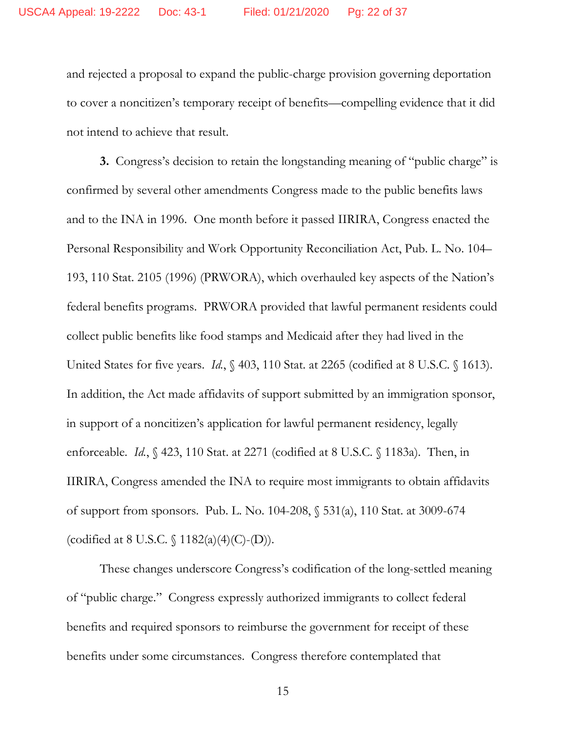and rejected a proposal to expand the public-charge provision governing deportation to cover a noncitizen's temporary receipt of benefits—compelling evidence that it did not intend to achieve that result.

**3.** Congress's decision to retain the longstanding meaning of "public charge" is confirmed by several other amendments Congress made to the public benefits laws and to the INA in 1996. One month before it passed IIRIRA, Congress enacted the Personal Responsibility and Work Opportunity Reconciliation Act, Pub. L. No. 104– 193, 110 Stat. 2105 (1996) (PRWORA), which overhauled key aspects of the Nation's federal benefits programs. PRWORA provided that lawful permanent residents could collect public benefits like food stamps and Medicaid after they had lived in the United States for five years. *Id.*, § 403, 110 Stat. at 2265 (codified at 8 U.S.C. § 1613). In addition, the Act made affidavits of support submitted by an immigration sponsor, in support of a noncitizen's application for lawful permanent residency, legally enforceable. *Id.*, § 423, 110 Stat. at 2271 (codified at 8 U.S.C. § 1183a). Then, in IIRIRA, Congress amended the INA to require most immigrants to obtain affidavits of support from sponsors. Pub. L. No. 104-208, § 531(a), 110 Stat. at 3009-674 (codified at 8 U.S.C. § 1182(a)(4)(C)-(D)).

These changes underscore Congress's codification of the long-settled meaning of "public charge." Congress expressly authorized immigrants to collect federal benefits and required sponsors to reimburse the government for receipt of these benefits under some circumstances. Congress therefore contemplated that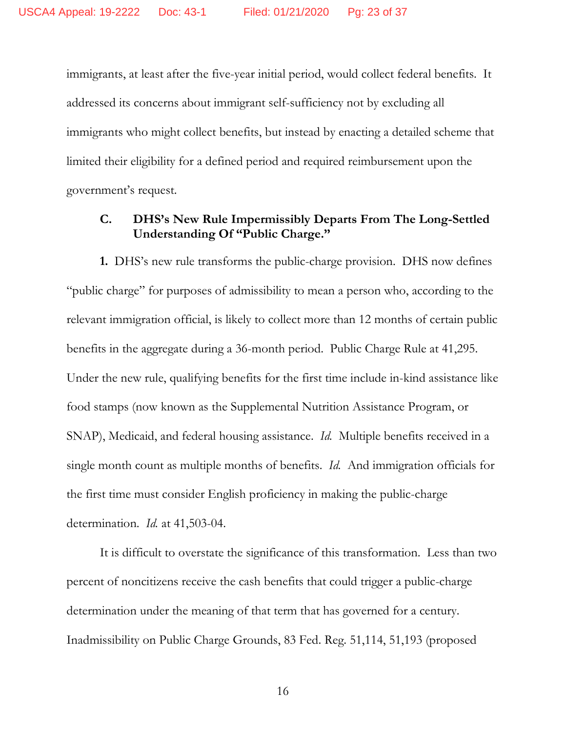immigrants, at least after the five-year initial period, would collect federal benefits. It addressed its concerns about immigrant self-sufficiency not by excluding all immigrants who might collect benefits, but instead by enacting a detailed scheme that limited their eligibility for a defined period and required reimbursement upon the government's request.

# **C. DHS's New Rule Impermissibly Departs From The Long-Settled Understanding Of "Public Charge."**

**1.** DHS's new rule transforms the public-charge provision. DHS now defines "public charge" for purposes of admissibility to mean a person who, according to the relevant immigration official, is likely to collect more than 12 months of certain public benefits in the aggregate during a 36-month period. Public Charge Rule at 41,295. Under the new rule, qualifying benefits for the first time include in-kind assistance like food stamps (now known as the Supplemental Nutrition Assistance Program, or SNAP), Medicaid, and federal housing assistance. *Id.* Multiple benefits received in a single month count as multiple months of benefits. *Id.* And immigration officials for the first time must consider English proficiency in making the public-charge determination. *Id.* at 41,503-04.

It is difficult to overstate the significance of this transformation. Less than two percent of noncitizens receive the cash benefits that could trigger a public-charge determination under the meaning of that term that has governed for a century. Inadmissibility on Public Charge Grounds, 83 Fed. Reg. 51,114, 51,193 (proposed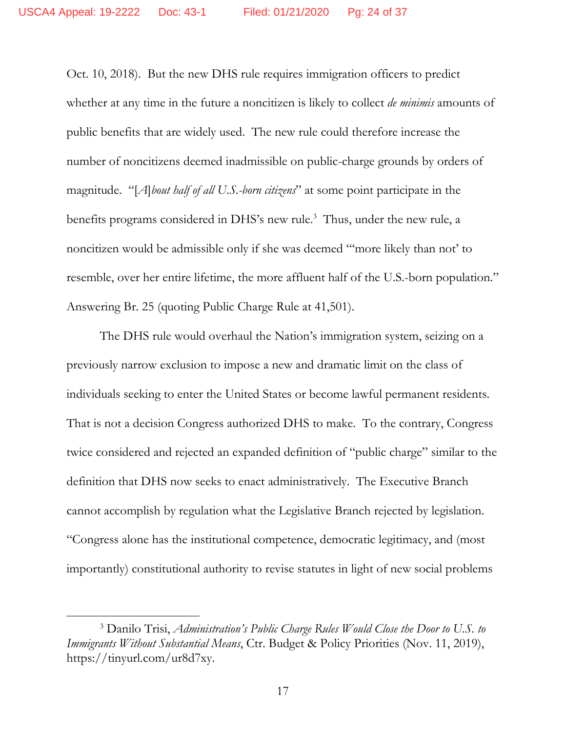Oct. 10, 2018). But the new DHS rule requires immigration officers to predict whether at any time in the future a noncitizen is likely to collect *de minimis* amounts of public benefits that are widely used. The new rule could therefore increase the number of noncitizens deemed inadmissible on public-charge grounds by orders of magnitude. "[*A*]*bout half of all U.S.-born citizens*" at some point participate in the benefits programs considered in DHS's new rule.<sup>3</sup> Thus, under the new rule, a noncitizen would be admissible only if she was deemed "'more likely than not' to resemble, over her entire lifetime, the more affluent half of the U.S.-born population." Answering Br. 25 (quoting Public Charge Rule at 41,501).

The DHS rule would overhaul the Nation's immigration system, seizing on a previously narrow exclusion to impose a new and dramatic limit on the class of individuals seeking to enter the United States or become lawful permanent residents. That is not a decision Congress authorized DHS to make. To the contrary, Congress twice considered and rejected an expanded definition of "public charge" similar to the definition that DHS now seeks to enact administratively. The Executive Branch cannot accomplish by regulation what the Legislative Branch rejected by legislation. "Congress alone has the institutional competence, democratic legitimacy, and (most importantly) constitutional authority to revise statutes in light of new social problems

<sup>3</sup> Danilo Trisi, *Administration's Public Charge Rules Would Close the Door to U.S. to Immigrants Without Substantial Means*, Ctr. Budget & Policy Priorities (Nov. 11, 2019), https://tinyurl.com/ur8d7xy.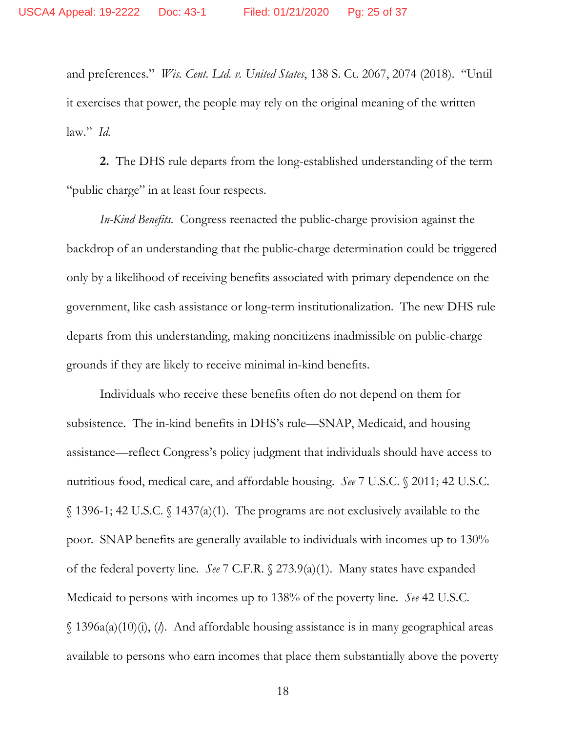and preferences." *Wis. Cent. Ltd. v. United States*, 138 S. Ct. 2067, 2074 (2018). "Until it exercises that power, the people may rely on the original meaning of the written law." *Id.*

**2.** The DHS rule departs from the long-established understanding of the term "public charge" in at least four respects.

*In-Kind Benefits.* Congress reenacted the public-charge provision against the backdrop of an understanding that the public-charge determination could be triggered only by a likelihood of receiving benefits associated with primary dependence on the government, like cash assistance or long-term institutionalization. The new DHS rule departs from this understanding, making noncitizens inadmissible on public-charge grounds if they are likely to receive minimal in-kind benefits.

Individuals who receive these benefits often do not depend on them for subsistence. The in-kind benefits in DHS's rule—SNAP, Medicaid, and housing assistance—reflect Congress's policy judgment that individuals should have access to nutritious food, medical care, and affordable housing. *See* 7 U.S.C. § 2011; 42 U.S.C. § 1396-1; 42 U.S.C. § 1437(a)(1). The programs are not exclusively available to the poor. SNAP benefits are generally available to individuals with incomes up to 130% of the federal poverty line. *See* 7 C.F.R. § 273.9(a)(1). Many states have expanded Medicaid to persons with incomes up to 138% of the poverty line. *See* 42 U.S.C. § 1396a(a)(10)(i), (*l*). And affordable housing assistance is in many geographical areas available to persons who earn incomes that place them substantially above the poverty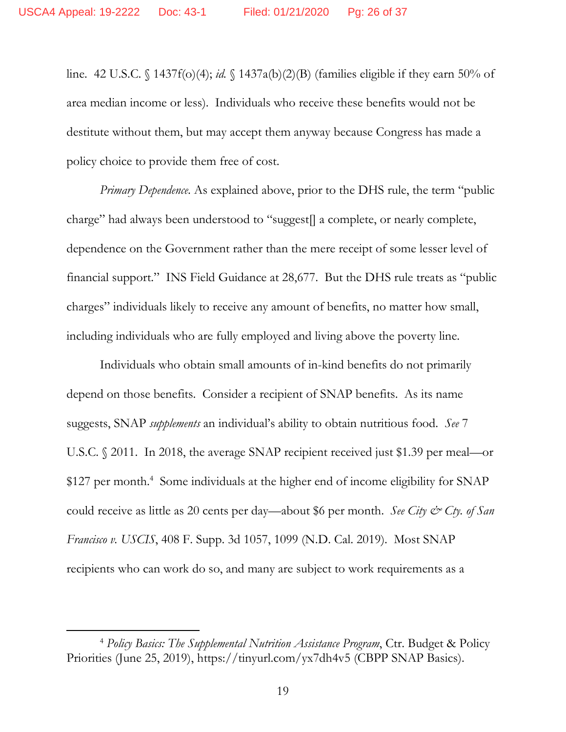line. 42 U.S.C. § 1437f(o)(4); *id.* § 1437a(b)(2)(B) (families eligible if they earn 50% of area median income or less). Individuals who receive these benefits would not be destitute without them, but may accept them anyway because Congress has made a policy choice to provide them free of cost.

*Primary Dependence*. As explained above, prior to the DHS rule, the term "public charge" had always been understood to "suggest[] a complete, or nearly complete, dependence on the Government rather than the mere receipt of some lesser level of financial support." INS Field Guidance at 28,677. But the DHS rule treats as "public charges" individuals likely to receive any amount of benefits, no matter how small, including individuals who are fully employed and living above the poverty line.

Individuals who obtain small amounts of in-kind benefits do not primarily depend on those benefits. Consider a recipient of SNAP benefits. As its name suggests, SNAP *supplements* an individual's ability to obtain nutritious food. *See* 7 U.S.C. § 2011. In 2018, the average SNAP recipient received just \$1.39 per meal—or \$127 per month.<sup>4</sup> Some individuals at the higher end of income eligibility for SNAP could receive as little as 20 cents per day—about \$6 per month. *See City & Cty. of San Francisco v. USCIS*, 408 F. Supp. 3d 1057, 1099 (N.D. Cal. 2019). Most SNAP recipients who can work do so, and many are subject to work requirements as a

<sup>4</sup> *Policy Basics: The Supplemental Nutrition Assistance Program*, Ctr. Budget & Policy Priorities (June 25, 2019), https://tinyurl.com/yx7dh4v5 (CBPP SNAP Basics).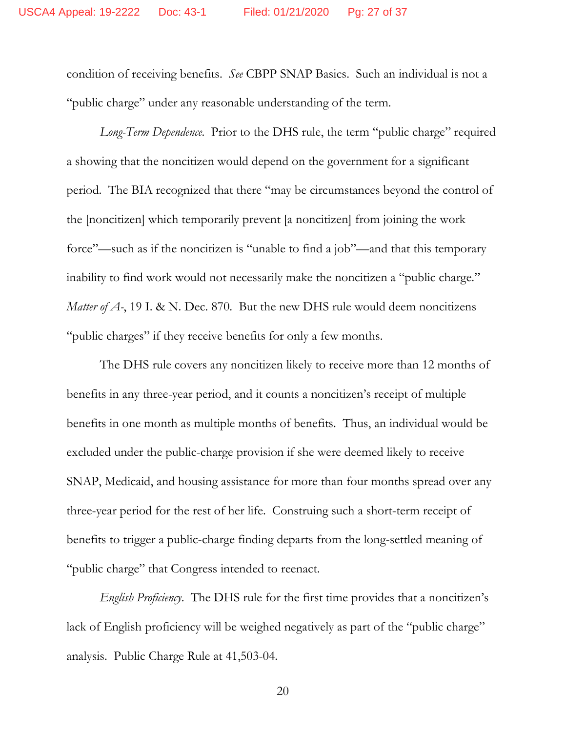condition of receiving benefits. *See* CBPP SNAP Basics. Such an individual is not a "public charge" under any reasonable understanding of the term.

*Long-Term Dependence*. Prior to the DHS rule, the term "public charge" required a showing that the noncitizen would depend on the government for a significant period. The BIA recognized that there "may be circumstances beyond the control of the [noncitizen] which temporarily prevent [a noncitizen] from joining the work force"—such as if the noncitizen is "unable to find a job"—and that this temporary inability to find work would not necessarily make the noncitizen a "public charge." *Matter of A-*, 19 I. & N. Dec. 870. But the new DHS rule would deem noncitizens "public charges" if they receive benefits for only a few months.

The DHS rule covers any noncitizen likely to receive more than 12 months of benefits in any three-year period, and it counts a noncitizen's receipt of multiple benefits in one month as multiple months of benefits. Thus, an individual would be excluded under the public-charge provision if she were deemed likely to receive SNAP, Medicaid, and housing assistance for more than four months spread over any three-year period for the rest of her life. Construing such a short-term receipt of benefits to trigger a public-charge finding departs from the long-settled meaning of "public charge" that Congress intended to reenact.

*English Proficiency*. The DHS rule for the first time provides that a noncitizen's lack of English proficiency will be weighed negatively as part of the "public charge" analysis. Public Charge Rule at 41,503-04.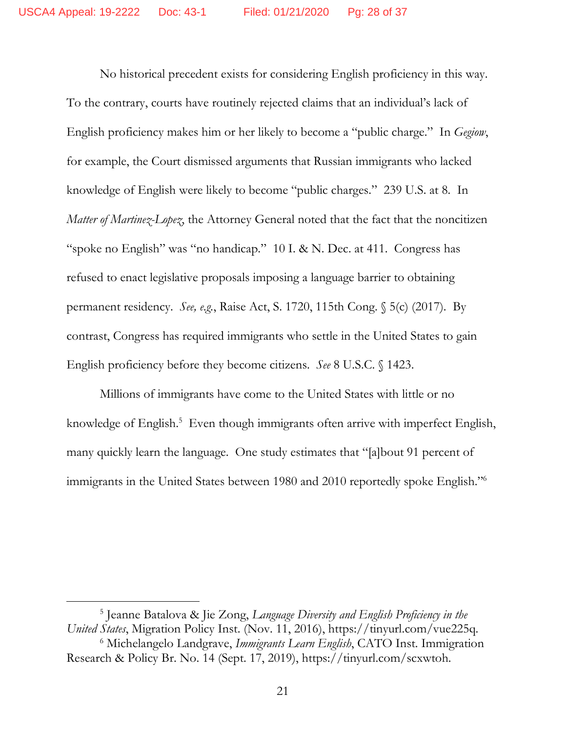No historical precedent exists for considering English proficiency in this way. To the contrary, courts have routinely rejected claims that an individual's lack of English proficiency makes him or her likely to become a "public charge." In *Gegiow*, for example, the Court dismissed arguments that Russian immigrants who lacked knowledge of English were likely to become "public charges." 239 U.S. at 8. In *Matter of Martinez-Lopez*, the Attorney General noted that the fact that the noncitizen "spoke no English" was "no handicap." 10 I. & N. Dec. at 411. Congress has refused to enact legislative proposals imposing a language barrier to obtaining permanent residency. *See, e.g.*, Raise Act, S. 1720, 115th Cong. § 5(c) (2017). By contrast, Congress has required immigrants who settle in the United States to gain English proficiency before they become citizens. *See* 8 U.S.C. § 1423.

Millions of immigrants have come to the United States with little or no knowledge of English.<sup>5</sup> Even though immigrants often arrive with imperfect English, many quickly learn the language. One study estimates that "[a]bout 91 percent of immigrants in the United States between 1980 and 2010 reportedly spoke English."<sup>6</sup>

5 Jeanne Batalova & Jie Zong, *Language Diversity and English Proficiency in the United States*, Migration Policy Inst. (Nov. 11, 2016), https://tinyurl.com/vue225q.

<sup>6</sup> Michelangelo Landgrave, *Immigrants Learn English*, CATO Inst. Immigration Research & Policy Br. No. 14 (Sept. 17, 2019), https://tinyurl.com/scxwtoh.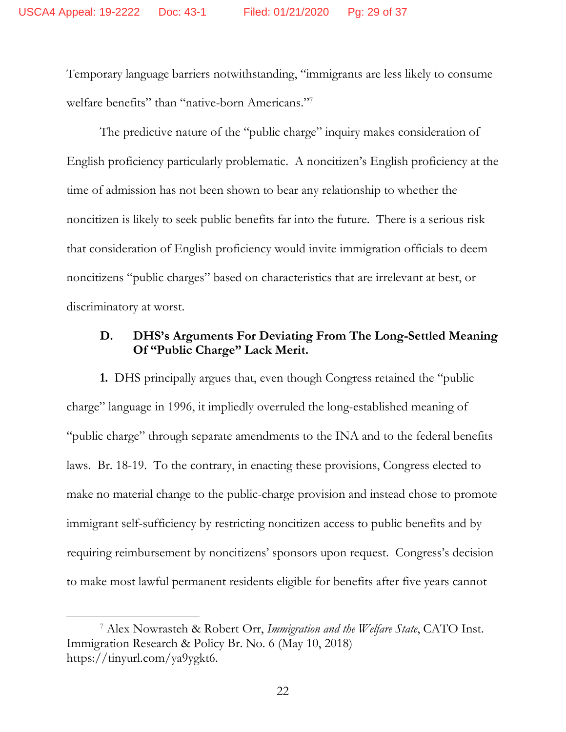Temporary language barriers notwithstanding, "immigrants are less likely to consume welfare benefits" than "native-born Americans."7

The predictive nature of the "public charge" inquiry makes consideration of English proficiency particularly problematic. A noncitizen's English proficiency at the time of admission has not been shown to bear any relationship to whether the noncitizen is likely to seek public benefits far into the future. There is a serious risk that consideration of English proficiency would invite immigration officials to deem noncitizens "public charges" based on characteristics that are irrelevant at best, or discriminatory at worst.

## **D. DHS's Arguments For Deviating From The Long-Settled Meaning Of "Public Charge" Lack Merit.**

**1.** DHS principally argues that, even though Congress retained the "public charge" language in 1996, it impliedly overruled the long-established meaning of "public charge" through separate amendments to the INA and to the federal benefits laws. Br. 18-19. To the contrary, in enacting these provisions, Congress elected to make no material change to the public-charge provision and instead chose to promote immigrant self-sufficiency by restricting noncitizen access to public benefits and by requiring reimbursement by noncitizens' sponsors upon request. Congress's decision to make most lawful permanent residents eligible for benefits after five years cannot

<sup>7</sup> Alex Nowrasteh & Robert Orr, *Immigration and the Welfare State*, CATO Inst. Immigration Research & Policy Br. No. 6 (May 10, 2018) https://tinyurl.com/ya9ygkt6.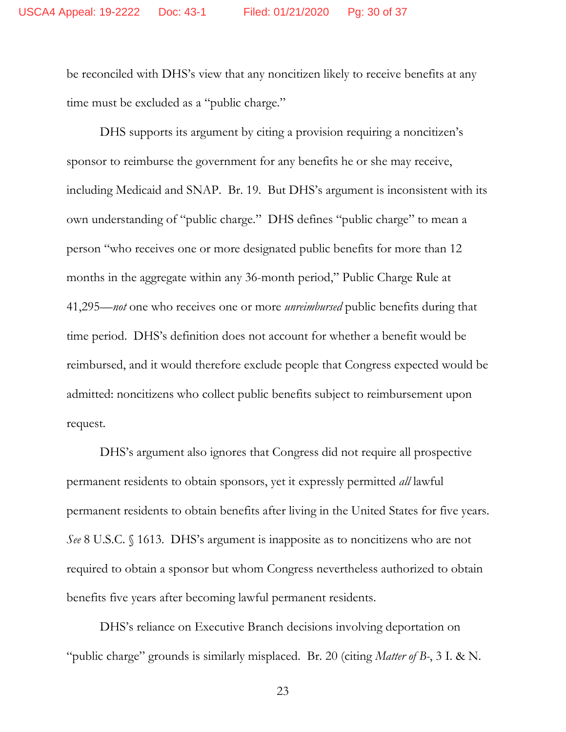be reconciled with DHS's view that any noncitizen likely to receive benefits at any time must be excluded as a "public charge."

DHS supports its argument by citing a provision requiring a noncitizen's sponsor to reimburse the government for any benefits he or she may receive, including Medicaid and SNAP. Br. 19. But DHS's argument is inconsistent with its own understanding of "public charge." DHS defines "public charge" to mean a person "who receives one or more designated public benefits for more than 12 months in the aggregate within any 36-month period," Public Charge Rule at 41,295—*not* one who receives one or more *unreimbursed* public benefits during that time period. DHS's definition does not account for whether a benefit would be reimbursed, and it would therefore exclude people that Congress expected would be admitted: noncitizens who collect public benefits subject to reimbursement upon request.

DHS's argument also ignores that Congress did not require all prospective permanent residents to obtain sponsors, yet it expressly permitted *all* lawful permanent residents to obtain benefits after living in the United States for five years. *See* 8 U.S.C. § 1613. DHS's argument is inapposite as to noncitizens who are not required to obtain a sponsor but whom Congress nevertheless authorized to obtain benefits five years after becoming lawful permanent residents.

DHS's reliance on Executive Branch decisions involving deportation on "public charge" grounds is similarly misplaced. Br. 20 (citing *Matter of B-*, 3 I. & N.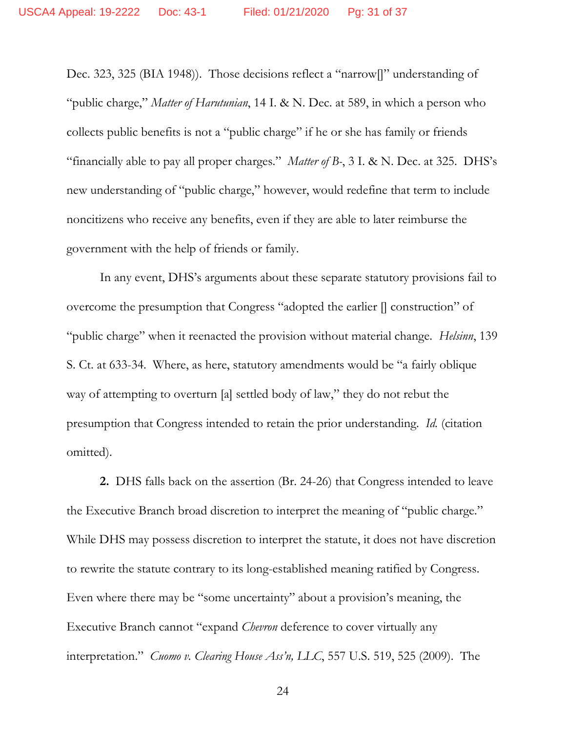Dec. 323, 325 (BIA 1948)). Those decisions reflect a "narrow[]" understanding of "public charge," *Matter of Harutunian*, 14 I. & N. Dec. at 589, in which a person who collects public benefits is not a "public charge" if he or she has family or friends "financially able to pay all proper charges." *Matter of B-*, 3 I. & N. Dec. at 325. DHS's new understanding of "public charge," however, would redefine that term to include noncitizens who receive any benefits, even if they are able to later reimburse the government with the help of friends or family.

In any event, DHS's arguments about these separate statutory provisions fail to overcome the presumption that Congress "adopted the earlier [] construction" of "public charge" when it reenacted the provision without material change. *Helsinn*, 139 S. Ct. at 633-34. Where, as here, statutory amendments would be "a fairly oblique way of attempting to overturn [a] settled body of law," they do not rebut the presumption that Congress intended to retain the prior understanding. *Id.* (citation omitted).

**2.** DHS falls back on the assertion (Br. 24-26) that Congress intended to leave the Executive Branch broad discretion to interpret the meaning of "public charge." While DHS may possess discretion to interpret the statute, it does not have discretion to rewrite the statute contrary to its long-established meaning ratified by Congress. Even where there may be "some uncertainty" about a provision's meaning, the Executive Branch cannot "expand *Chevron* deference to cover virtually any interpretation." *Cuomo v. Clearing House Ass'n, LLC*, 557 U.S. 519, 525 (2009). The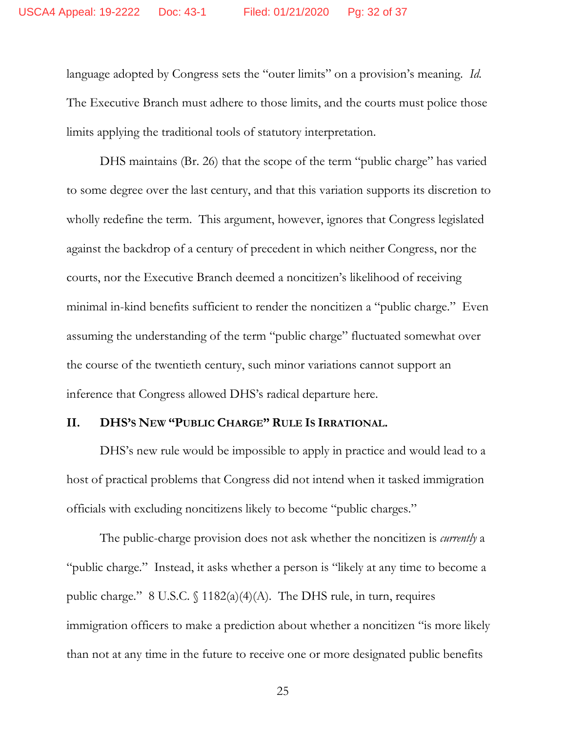language adopted by Congress sets the "outer limits" on a provision's meaning. *Id.*  The Executive Branch must adhere to those limits, and the courts must police those limits applying the traditional tools of statutory interpretation.

DHS maintains (Br. 26) that the scope of the term "public charge" has varied to some degree over the last century, and that this variation supports its discretion to wholly redefine the term. This argument, however, ignores that Congress legislated against the backdrop of a century of precedent in which neither Congress, nor the courts, nor the Executive Branch deemed a noncitizen's likelihood of receiving minimal in-kind benefits sufficient to render the noncitizen a "public charge." Even assuming the understanding of the term "public charge" fluctuated somewhat over the course of the twentieth century, such minor variations cannot support an inference that Congress allowed DHS's radical departure here.

#### **II. DHS'S NEW "PUBLIC CHARGE" RULE IS IRRATIONAL.**

DHS's new rule would be impossible to apply in practice and would lead to a host of practical problems that Congress did not intend when it tasked immigration officials with excluding noncitizens likely to become "public charges."

The public-charge provision does not ask whether the noncitizen is *currently* a "public charge." Instead, it asks whether a person is "likely at any time to become a public charge." 8 U.S.C.  $\{\frac{1182(a)(4)(A)}{B}\}$ . The DHS rule, in turn, requires immigration officers to make a prediction about whether a noncitizen "is more likely than not at any time in the future to receive one or more designated public benefits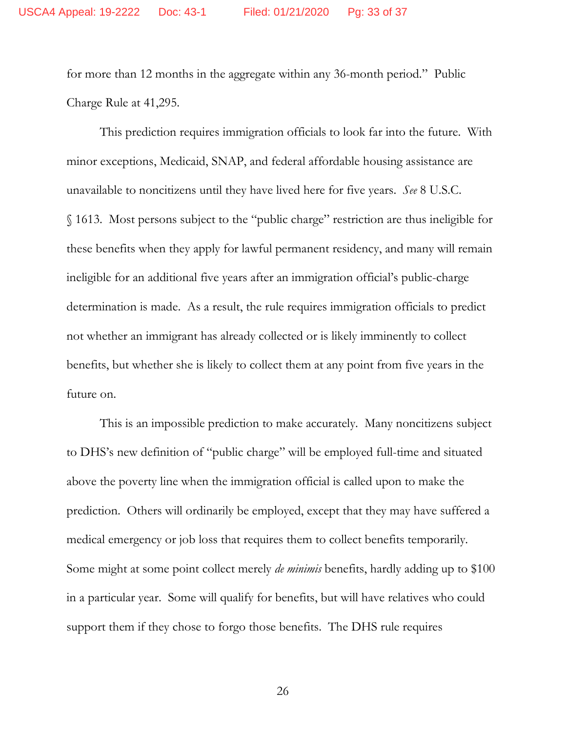for more than 12 months in the aggregate within any 36-month period." Public Charge Rule at 41,295.

This prediction requires immigration officials to look far into the future. With minor exceptions, Medicaid, SNAP, and federal affordable housing assistance are unavailable to noncitizens until they have lived here for five years. *See* 8 U.S.C. § 1613. Most persons subject to the "public charge" restriction are thus ineligible for these benefits when they apply for lawful permanent residency, and many will remain ineligible for an additional five years after an immigration official's public-charge determination is made. As a result, the rule requires immigration officials to predict not whether an immigrant has already collected or is likely imminently to collect benefits, but whether she is likely to collect them at any point from five years in the future on.

This is an impossible prediction to make accurately. Many noncitizens subject to DHS's new definition of "public charge" will be employed full-time and situated above the poverty line when the immigration official is called upon to make the prediction. Others will ordinarily be employed, except that they may have suffered a medical emergency or job loss that requires them to collect benefits temporarily. Some might at some point collect merely *de minimis* benefits, hardly adding up to \$100 in a particular year. Some will qualify for benefits, but will have relatives who could support them if they chose to forgo those benefits. The DHS rule requires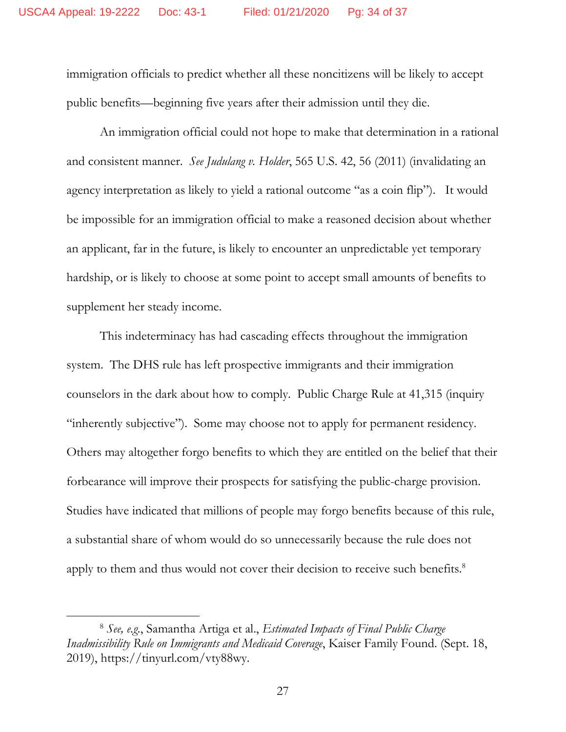immigration officials to predict whether all these noncitizens will be likely to accept public benefits—beginning five years after their admission until they die.

An immigration official could not hope to make that determination in a rational and consistent manner. *See Judulang v. Holder*, 565 U.S. 42, 56 (2011) (invalidating an agency interpretation as likely to yield a rational outcome "as a coin flip"). It would be impossible for an immigration official to make a reasoned decision about whether an applicant, far in the future, is likely to encounter an unpredictable yet temporary hardship, or is likely to choose at some point to accept small amounts of benefits to supplement her steady income.

This indeterminacy has had cascading effects throughout the immigration system. The DHS rule has left prospective immigrants and their immigration counselors in the dark about how to comply. Public Charge Rule at 41,315 (inquiry "inherently subjective"). Some may choose not to apply for permanent residency. Others may altogether forgo benefits to which they are entitled on the belief that their forbearance will improve their prospects for satisfying the public-charge provision. Studies have indicated that millions of people may forgo benefits because of this rule, a substantial share of whom would do so unnecessarily because the rule does not apply to them and thus would not cover their decision to receive such benefits.<sup>8</sup>

<sup>8</sup> *See, e.g.*, Samantha Artiga et al., *Estimated Impacts of Final Public Charge Inadmissibility Rule on Immigrants and Medicaid Coverage*, Kaiser Family Found. (Sept. 18, 2019), https://tinyurl.com/vty88wy.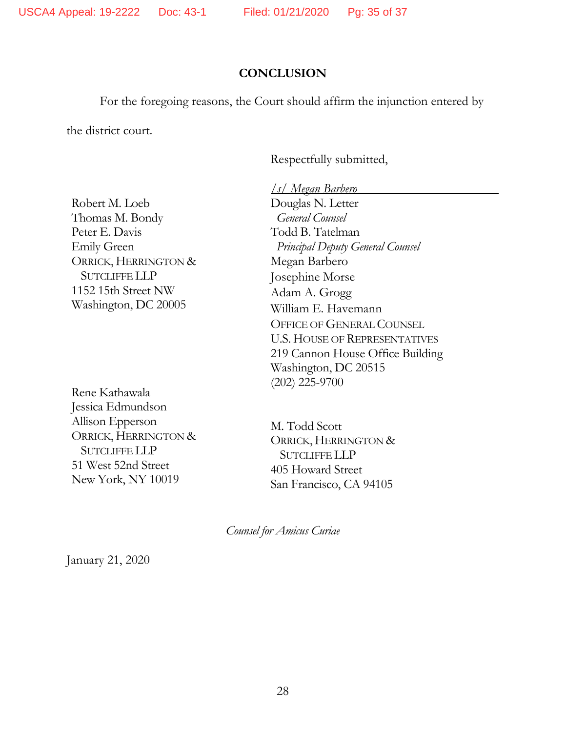## **CONCLUSION**

For the foregoing reasons, the Court should affirm the injunction entered by

the district court.

Respectfully submitted,

Robert M. Loeb Thomas M. Bondy Peter E. Davis Emily Green ORRICK, HERRINGTON & SUTCLIFFE LLP 1152 15th Street NW Washington, DC 20005

Rene Kathawala Jessica Edmundson Allison Epperson ORRICK, HERRINGTON & SUTCLIFFE LLP 51 West 52nd Street New York, NY 10019

*/s/ Megan Barbero* Douglas N. Letter  *General Counsel*  Todd B. Tatelman  *Principal Deputy General Counsel*  Megan Barbero Josephine Morse Adam A. Grogg William E. Havemann OFFICE OF GENERAL COUNSEL U.S. HOUSE OF REPRESENTATIVES 219 Cannon House Office Building Washington, DC 20515 (202) 225-9700

M. Todd Scott ORRICK, HERRINGTON & SUTCLIFFE LLP 405 Howard Street San Francisco, CA 94105

*Counsel for Amicus Curiae* 

January 21, 2020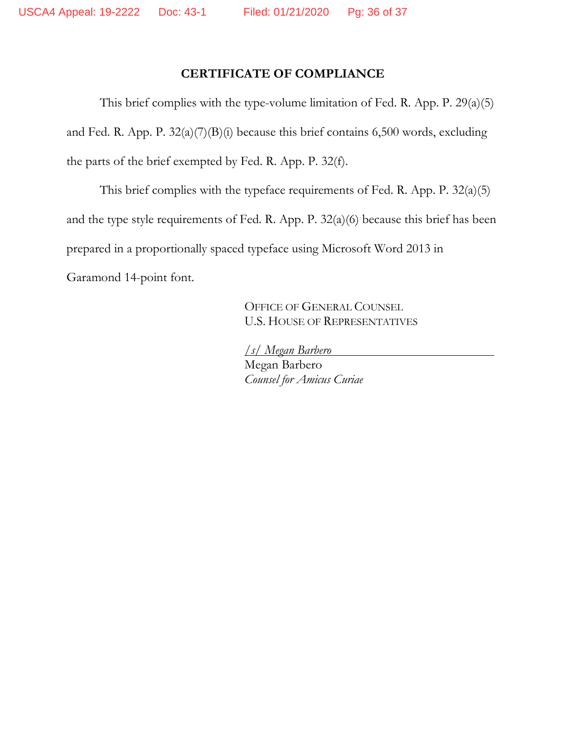# **CERTIFICATE OF COMPLIANCE**

This brief complies with the type-volume limitation of Fed. R. App. P. 29(a)(5) and Fed. R. App. P. 32(a)(7)(B)(i) because this brief contains 6,500 words, excluding the parts of the brief exempted by Fed. R. App. P. 32(f).

This brief complies with the typeface requirements of Fed. R. App. P. 32(a)(5) and the type style requirements of Fed. R. App. P. 32(a)(6) because this brief has been prepared in a proportionally spaced typeface using Microsoft Word 2013 in Garamond 14-point font.

> OFFICE OF GENERAL COUNSEL U.S. HOUSE OF REPRESENTATIVES

*/s/ Megan Barbero* Megan Barbero *Counsel for Amicus Curiae*